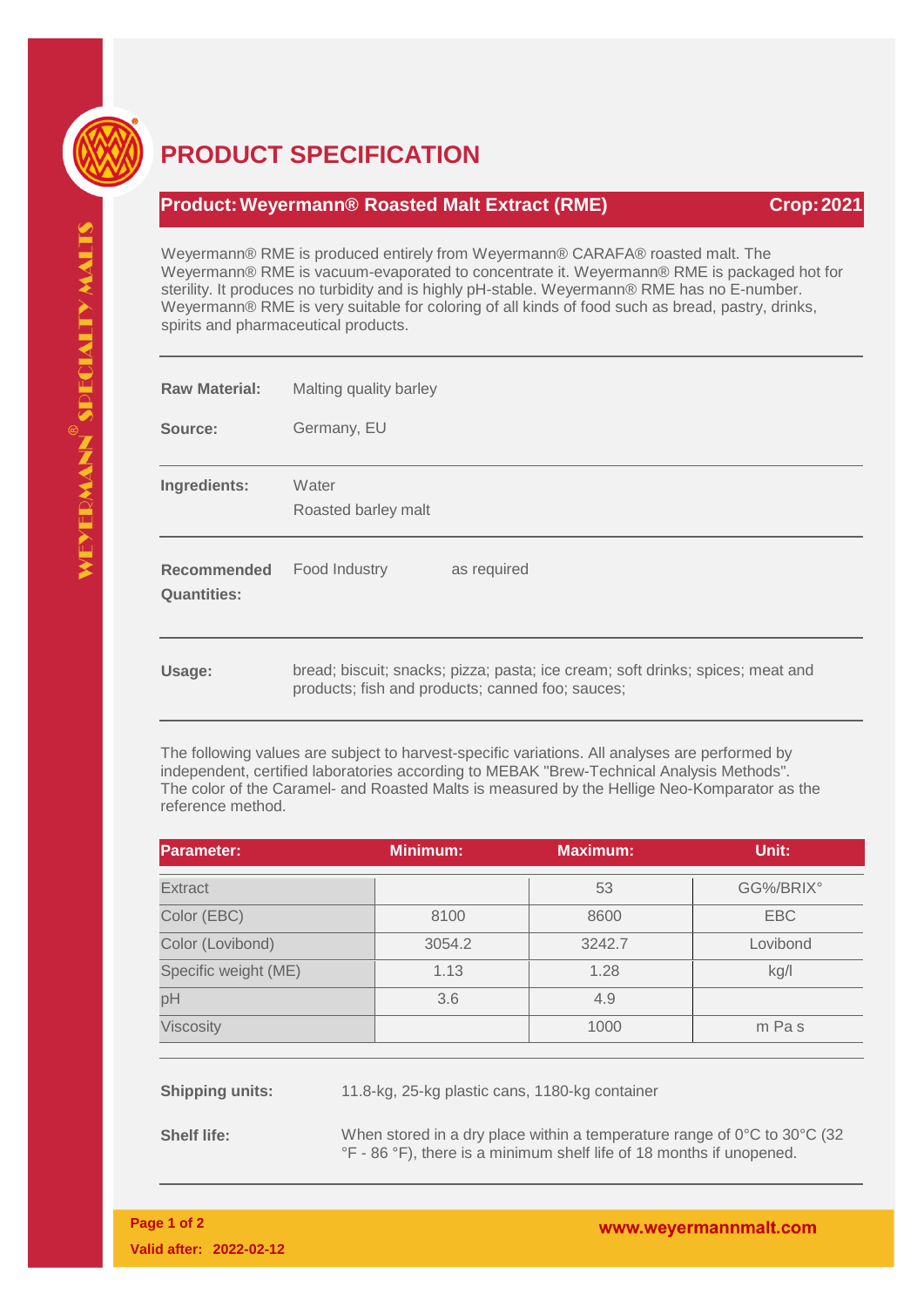

## **PRODUCT SPECIFICATION**

## **Product:Weyermann® Roasted Malt Extract (RME) Crop:2021**

Weyermann® RME is produced entirely from Weyermann® CARAFA® roasted malt. The Weyermann® RME is vacuum-evaporated to concentrate it. Weyermann® RME is packaged hot for sterility. It produces no turbidity and is highly pH-stable. Weyermann® RME has no E-number. Weyermann® RME is very suitable for coloring of all kinds of food such as bread, pastry, drinks, spirits and pharmaceutical products.

| <b>Raw Material:</b>                     | Malting quality barley       |
|------------------------------------------|------------------------------|
| Source:                                  | Germany, EU                  |
| Ingredients:                             | Water<br>Roasted barley malt |
| <b>Recommended</b><br><b>Quantities:</b> | Food Industry<br>as required |
|                                          |                              |

The following values are subject to harvest-specific variations. All analyses are performed by independent, certified laboratories according to MEBAK "Brew-Technical Analysis Methods". The color of the Caramel- and Roasted Malts is measured by the Hellige Neo-Komparator as the reference method.

| <b>Parameter:</b>    | <b>Minimum:</b> | <b>Maximum:</b> | Unit:      |
|----------------------|-----------------|-----------------|------------|
| <b>Extract</b>       |                 | 53              | GG%/BRIX°  |
| Color (EBC)          | 8100            | 8600            | <b>EBC</b> |
| Color (Lovibond)     | 3054.2          | 3242.7          | Lovibond   |
| Specific weight (ME) | 1.13            | 1.28            | kg/l       |
| pH                   | 3.6             | 4.9             |            |
| <b>Viscosity</b>     |                 | 1000            | m Pas      |

**Shipping units:** 11.8-kg, 25-kg plastic cans, 1180-kg container

**Shelf life:** When stored in a dry place within a temperature range of 0°C to 30°C (32) °F - 86 °F), there is a minimum shelf life of 18 months if unopened.